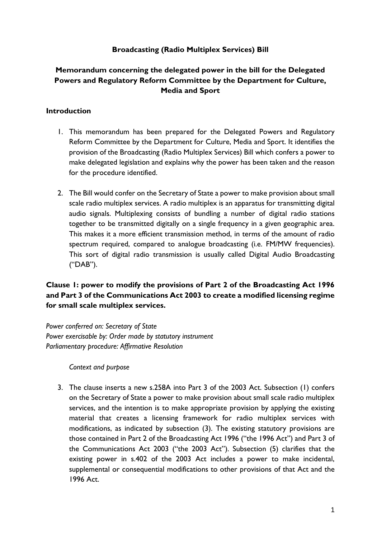### **Broadcasting (Radio Multiplex Services) Bill**

# **Memorandum concerning the delegated power in the bill for the Delegated Powers and Regulatory Reform Committee by the Department for Culture, Media and Sport**

### **Introduction**

- 1. This memorandum has been prepared for the Delegated Powers and Regulatory Reform Committee by the Department for Culture, Media and Sport. It identifies the provision of the Broadcasting (Radio Multiplex Services) Bill which confers a power to make delegated legislation and explains why the power has been taken and the reason for the procedure identified.
- 2. The Bill would confer on the Secretary of State a power to make provision about small scale radio multiplex services. A radio multiplex is an apparatus for transmitting digital audio signals. Multiplexing consists of bundling a number of digital radio stations together to be transmitted digitally on a single frequency in a given geographic area. This makes it a more efficient transmission method, in terms of the amount of radio spectrum required, compared to analogue broadcasting (i.e. FM/MW frequencies). This sort of digital radio transmission is usually called Digital Audio Broadcasting ("DAB").

# **Clause 1: power to modify the provisions of Part 2 of the Broadcasting Act 1996 and Part 3 of the Communications Act 2003 to create a modified licensing regime for small scale multiplex services.**

*Power conferred on: Secretary of State Power exercisable by: Order made by statutory instrument Parliamentary procedure: Affirmative Resolution*

*Context and purpose*

3. The clause inserts a new s.258A into Part 3 of the 2003 Act. Subsection (1) confers on the Secretary of State a power to make provision about small scale radio multiplex services, and the intention is to make appropriate provision by applying the existing material that creates a licensing framework for radio multiplex services with modifications, as indicated by subsection (3). The existing statutory provisions are those contained in Part 2 of the Broadcasting Act 1996 ("the 1996 Act") and Part 3 of the Communications Act 2003 ("the 2003 Act"). Subsection (5) clarifies that the existing power in s.402 of the 2003 Act includes a power to make incidental, supplemental or consequential modifications to other provisions of that Act and the 1996 Act.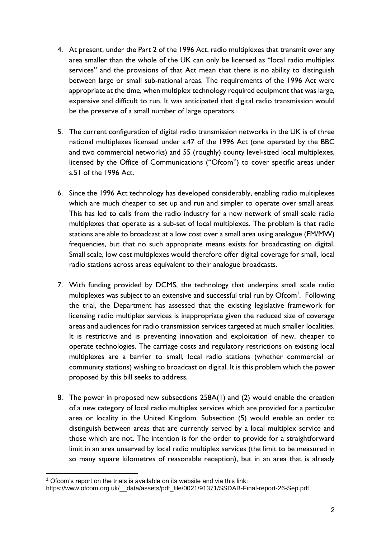- 4. At present, under the Part 2 of the 1996 Act, radio multiplexes that transmit over any area smaller than the whole of the UK can only be licensed as "local radio multiplex services" and the provisions of that Act mean that there is no ability to distinguish between large or small sub-national areas. The requirements of the 1996 Act were appropriate at the time, when multiplex technology required equipment that was large, expensive and difficult to run. It was anticipated that digital radio transmission would be the preserve of a small number of large operators.
- 5. The current configuration of digital radio transmission networks in the UK is of three national multiplexes licensed under s.47 of the 1996 Act (one operated by the BBC and two commercial networks) and 55 (roughly) county level-sized local multiplexes, licensed by the Office of Communications ("Ofcom") to cover specific areas under s.51 of the 1996 Act.
- 6. Since the 1996 Act technology has developed considerably, enabling radio multiplexes which are much cheaper to set up and run and simpler to operate over small areas. This has led to calls from the radio industry for a new network of small scale radio multiplexes that operate as a sub-set of local multiplexes. The problem is that radio stations are able to broadcast at a low cost over a small area using analogue (FM/MW) frequencies, but that no such appropriate means exists for broadcasting on digital. Small scale, low cost multiplexes would therefore offer digital coverage for small, local radio stations across areas equivalent to their analogue broadcasts.
- 7. With funding provided by DCMS, the technology that underpins small scale radio multiplexes was subject to an extensive and successful trial run by Ofcom<sup>1</sup>. Following the trial, the Department has assessed that the existing legislative framework for licensing radio multiplex services is inappropriate given the reduced size of coverage areas and audiences for radio transmission services targeted at much smaller localities. It is restrictive and is preventing innovation and exploitation of new, cheaper to operate technologies. The carriage costs and regulatory restrictions on existing local multiplexes are a barrier to small, local radio stations (whether commercial or community stations) wishing to broadcast on digital. It is this problem which the power proposed by this bill seeks to address.
- 8. The power in proposed new subsections 258A(1) and (2) would enable the creation of a new category of local radio multiplex services which are provided for a particular area or locality in the United Kingdom. Subsection (5) would enable an order to distinguish between areas that are currently served by a local multiplex service and those which are not. The intention is for the order to provide for a straightforward limit in an area unserved by local radio multiplex services (the limit to be measured in so many square kilometres of reasonable reception), but in an area that is already

-

 $1$  Ofcom's report on the trials is available on its website and via this link:

https://www.ofcom.org.uk/\_\_data/assets/pdf\_file/0021/91371/SSDAB-Final-report-26-Sep.pdf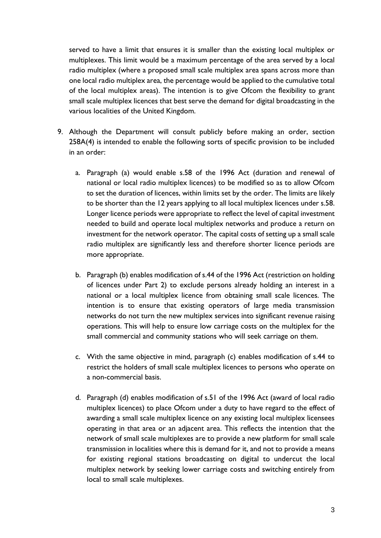served to have a limit that ensures it is smaller than the existing local multiplex or multiplexes. This limit would be a maximum percentage of the area served by a local radio multiplex (where a proposed small scale multiplex area spans across more than one local radio multiplex area, the percentage would be applied to the cumulative total of the local multiplex areas). The intention is to give Ofcom the flexibility to grant small scale multiplex licences that best serve the demand for digital broadcasting in the various localities of the United Kingdom.

- 9. Although the Department will consult publicly before making an order, section 258A(4) is intended to enable the following sorts of specific provision to be included in an order:
	- a. Paragraph (a) would enable s.58 of the 1996 Act (duration and renewal of national or local radio multiplex licences) to be modified so as to allow Ofcom to set the duration of licences, within limits set by the order. The limits are likely to be shorter than the 12 years applying to all local multiplex licences under s.58. Longer licence periods were appropriate to reflect the level of capital investment needed to build and operate local multiplex networks and produce a return on investment for the network operator. The capital costs of setting up a small scale radio multiplex are significantly less and therefore shorter licence periods are more appropriate.
	- b. Paragraph (b) enables modification of s.44 of the 1996 Act (restriction on holding of licences under Part 2) to exclude persons already holding an interest in a national or a local multiplex licence from obtaining small scale licences. The intention is to ensure that existing operators of large media transmission networks do not turn the new multiplex services into significant revenue raising operations. This will help to ensure low carriage costs on the multiplex for the small commercial and community stations who will seek carriage on them.
	- c. With the same objective in mind, paragraph (c) enables modification of s.44 to restrict the holders of small scale multiplex licences to persons who operate on a non-commercial basis.
	- d. Paragraph (d) enables modification of s.51 of the 1996 Act (award of local radio multiplex licences) to place Ofcom under a duty to have regard to the effect of awarding a small scale multiplex licence on any existing local multiplex licensees operating in that area or an adjacent area. This reflects the intention that the network of small scale multiplexes are to provide a new platform for small scale transmission in localities where this is demand for it, and not to provide a means for existing regional stations broadcasting on digital to undercut the local multiplex network by seeking lower carriage costs and switching entirely from local to small scale multiplexes.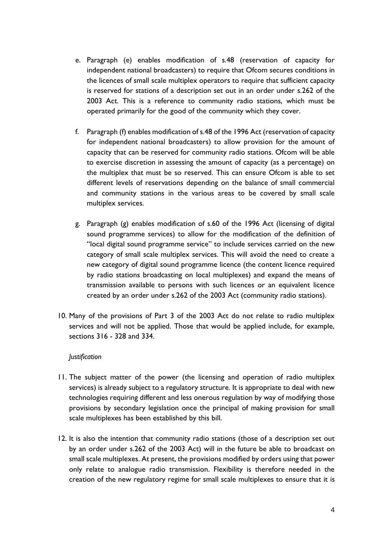- e. Paragraph (e) enables modification of s.48 (reservation of capacity for independent national broadcasters) to require that Ofcom secures conditions in the licences of small scale multiplex operators to require that sufficient capacity is reserved for stations of a description set out in an order under s.262 of the 2003 Act. This is a reference to community radio stations, which must be operated primarily for the good of the community which they cover.
- f. Paragraph (f) enables modification of s.48 of the 1996 Act (reservation of capacity for independent national broadcasters) to allow provision for the amount of capacity that can be reserved for community radio stations. Ofcom will be able to exercise discretion in assessing the amount of capacity (as a percentage) on the multiplex that must be so reserved. This can ensure Ofcom is able to set different levels of reservations depending on the balance of small commercial and community stations in the various areas to be covered by small scale multiplex services.
- g. Paragraph (g) enables modification of s.60 of the 1996 Act (licensing of digital sound programme services) to allow for the modification of the definition of "local digital sound programme service" to include services carried on the new category of small scale multiplex services. This will avoid the need to create a new category of digital sound programme licence (the content licence required by radio stations broadcasting on local multiplexes) and expand the means of transmission available to persons with such licences or an equivalent licence created by an order under s.262 of the 2003 Act (community radio stations).
- 10. Many of the provisions of Part 3 of the 2003 Act do not relate to radio multiplex services and will not be applied. Those that would be applied include, for example, sections 316 - 328 and 334.

#### *Justification*

- 11. The subject matter of the power (the licensing and operation of radio multiplex services) is already subject to a regulatory structure. It is appropriate to deal with new technologies requiring different and less onerous regulation by way of modifying those provisions by secondary legislation once the principal of making provision for small scale multiplexes has been established by this bill.
- 12. It is also the intention that community radio stations (those of a description set out by an order under s.262 of the 2003 Act) will in the future be able to broadcast on small scale multiplexes. At present, the provisions modified by orders using that power only relate to analogue radio transmission. Flexibility is therefore needed in the creation of the new regulatory regime for small scale multiplexes to ensure that it is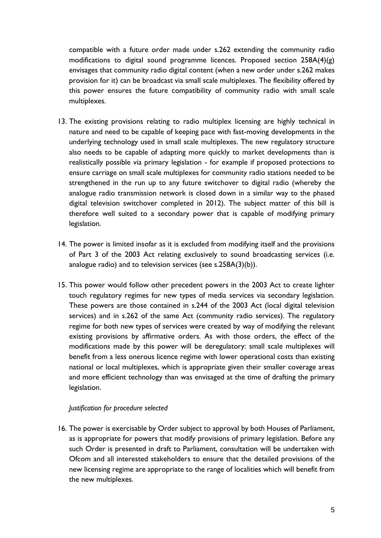compatible with a future order made under s.262 extending the community radio modifications to digital sound programme licences. Proposed section 258A(4)(g) envisages that community radio digital content (when a new order under s.262 makes provision for it) can be broadcast via small scale multiplexes. The flexibility offered by this power ensures the future compatibility of community radio with small scale multiplexes.

- 13. The existing provisions relating to radio multiplex licensing are highly technical in nature and need to be capable of keeping pace with fast-moving developments in the underlying technology used in small scale multiplexes. The new regulatory structure also needs to be capable of adapting more quickly to market developments than is realistically possible via primary legislation - for example if proposed protections to ensure carriage on small scale multiplexes for community radio stations needed to be strengthened in the run up to any future switchover to digital radio (whereby the analogue radio transmission network is closed down in a similar way to the phased digital television switchover completed in 2012). The subject matter of this bill is therefore well suited to a secondary power that is capable of modifying primary legislation.
- 14. The power is limited insofar as it is excluded from modifying itself and the provisions of Part 3 of the 2003 Act relating exclusively to sound broadcasting services (i.e. analogue radio) and to television services (see s.258A(3)(b)).
- 15. This power would follow other precedent powers in the 2003 Act to create lighter touch regulatory regimes for new types of media services via secondary legislation. These powers are those contained in s.244 of the 2003 Act (local digital television services) and in s.262 of the same Act (community radio services). The regulatory regime for both new types of services were created by way of modifying the relevant existing provisions by affirmative orders. As with those orders, the effect of the modifications made by this power will be deregulatory: small scale multiplexes will benefit from a less onerous licence regime with lower operational costs than existing national or local multiplexes, which is appropriate given their smaller coverage areas and more efficient technology than was envisaged at the time of drafting the primary legislation.

#### *Justification for procedure selected*

16. The power is exercisable by Order subject to approval by both Houses of Parliament, as is appropriate for powers that modify provisions of primary legislation. Before any such Order is presented in draft to Parliament, consultation will be undertaken with Ofcom and all interested stakeholders to ensure that the detailed provisions of the new licensing regime are appropriate to the range of localities which will benefit from the new multiplexes.